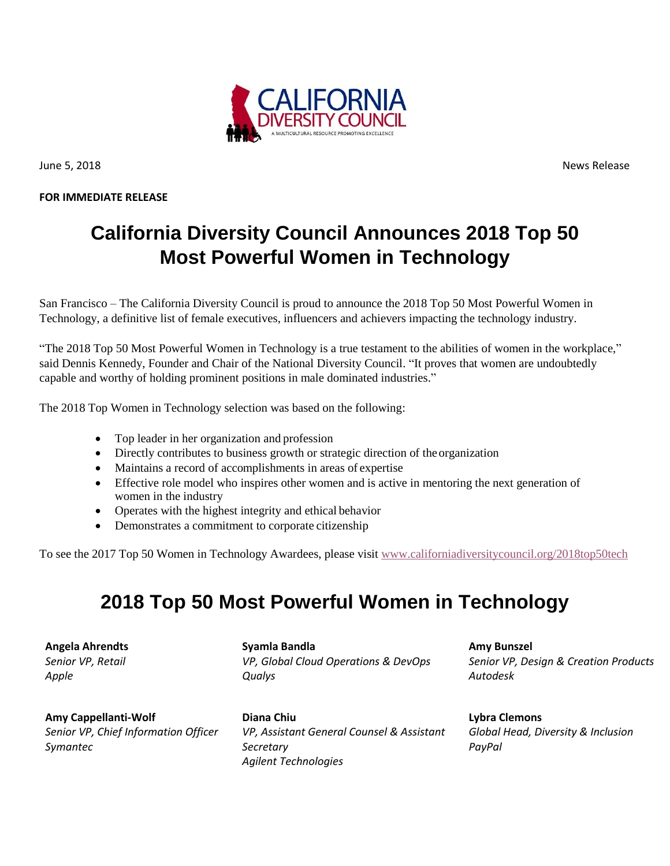

**FOR IMMEDIATE RELEASE** 

June 5, 2018 News Release

## **California Diversity Council Announces 2018 Top 50 Most Powerful Women in Technology**

San Francisco – The California Diversity Council is proud to announce the 2018 Top 50 Most Powerful Women in Technology, a definitive list of female executives, influencers and achievers impacting the technology industry.

"The 2018 Top 50 Most Powerful Women in Technology is a true testament to the abilities of women in the workplace," said Dennis Kennedy, Founder and Chair of the National Diversity Council. "It proves that women are undoubtedly capable and worthy of holding prominent positions in male dominated industries."

The 2018 Top Women in Technology selection was based on the following:

- Top leader in her organization and profession
- Directly contributes to business growth or strategic direction of the organization
- Maintains a record of accomplishments in areas of expertise
- Effective role model who inspires other women and is active in mentoring the next generation of women in the industry
- Operates with the highest integrity and ethical behavior
- Demonstrates a commitment to corporate citizenship

To see the 2017 Top 50 Women in Technology Awardees, please visit [www.californiadiversitycouncil.org/2018top50tech](http://www.nationaldiversitycouncil.org/california-diversity-council-announces-2017-top-50-most-powerful-women-in-technology/)

## **2018 Top 50 Most Powerful Women in Technology**

**Angela Ahrendts**  *Senior VP, Retail Apple*

**Amy Cappellanti-Wolf**  *Senior VP, Chief Information Officer Symantec*

**Syamla Bandla**  *VP, Global Cloud Operations & DevOps Qualys*

**Diana Chiu** *VP, Assistant General Counsel & Assistant Secretary Agilent Technologies*

**Amy Bunszel** *Senior VP, Design & Creation Products Autodesk*

**Lybra Clemons** *Global Head, Diversity & Inclusion PayPal*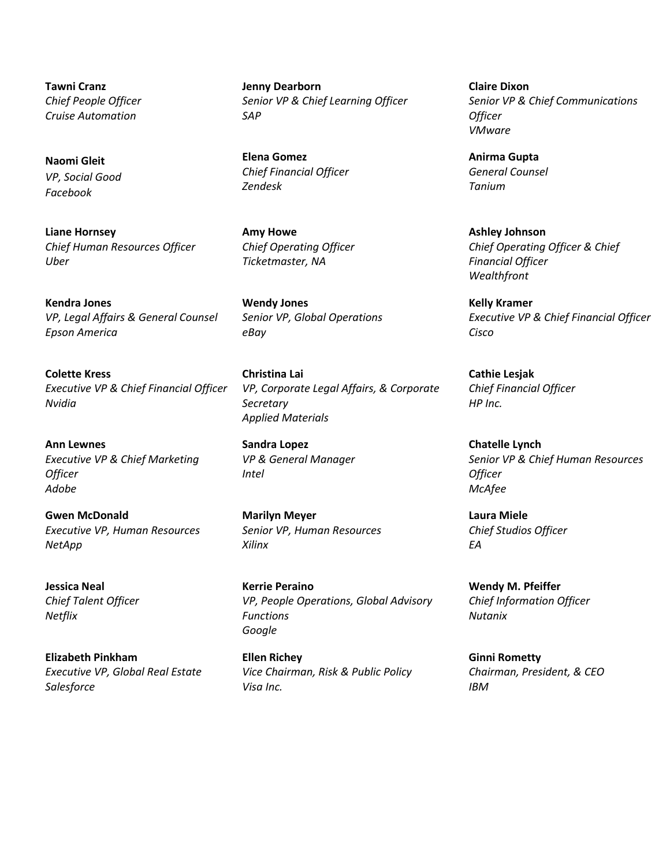**Tawni Cranz** *Chief People Officer Cruise Automation*

**Naomi Gleit**  *VP, Social Good Facebook*

**Liane Hornsey**  *Chief Human Resources Officer Uber*

**Kendra Jones** *VP, Legal Affairs & General Counsel Epson America*

**Colette Kress**  *Executive VP & Chief Financial Officer Nvidia*

**Ann Lewnes**  *Executive VP & Chief Marketing Officer Adobe*

**Gwen McDonald**  *Executive VP, Human Resources NetApp*

**Jessica Neal** *Chief Talent Officer Netflix*

**Elizabeth Pinkham**  *Executive VP, Global Real Estate Salesforce* 

**Jenny Dearborn**  *Senior VP & Chief Learning Officer SAP*

**Elena Gomez** *Chief Financial Officer Zendesk*

**Amy Howe** *Chief Operating Officer Ticketmaster, NA*

**Wendy Jones** *Senior VP, Global Operations eBay* 

**Christina Lai** *VP, Corporate Legal Affairs, & Corporate Secretary Applied Materials*

**Sandra Lopez**  *VP & General Manager Intel*

**Marilyn Meyer**  *Senior VP, Human Resources Xilinx*

**Kerrie Peraino** *VP, People Operations, Global Advisory Functions Google*

**Ellen Richey**  *Vice Chairman, Risk & Public Policy Visa Inc.*

**Claire Dixon** *Senior VP & Chief Communications Officer VMware*

**Anirma Gupta** *General Counsel Tanium*

**Ashley Johnson** *Chief Operating Officer & Chief Financial Officer Wealthfront*

**Kelly Kramer** *Executive VP & Chief Financial Officer Cisco*

**Cathie Lesjak**  *Chief Financial Officer HP Inc.*

**Chatelle Lynch**  *Senior VP & Chief Human Resources Officer McAfee*

**Laura Miele**  *Chief Studios Officer EA*

**Wendy M. Pfeiffer**  *Chief Information Officer Nutanix*

**Ginni Rometty**  *Chairman, President, & CEO IBM*